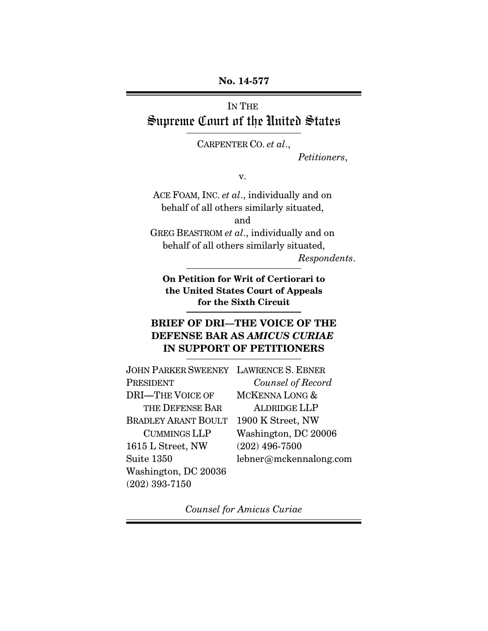### **No. 14-577**

# IN THE Supreme Court of the United States

CARPENTER CO. *et al*.,

*Petitioners*,

v.

ACE FOAM, INC. *et al*., individually and on behalf of all others similarly situated, and

GREG BEASTROM *et al*., individually and on behalf of all others similarly situated,

*Respondents*.

**On Petition for Writ of Certiorari to the United States Court of Appeals for the Sixth Circuit**

# **BRIEF OF DRI—THE VOICE OF THE DEFENSE BAR AS** *AMICUS CURIAE* **IN SUPPORT OF PETITIONERS**

| <b>JOHN PARKER SWEENEY LAWRENCE S. EBNER</b> |                        |
|----------------------------------------------|------------------------|
| <b>PRESIDENT</b>                             | Counsel of Record      |
| <b>DRI-THE VOICE OF</b>                      | MCKENNA LONG &         |
| THE DEFENSE BAR                              | <b>ALDRIDGE LLP</b>    |
| <b>BRADLEY ARANT BOULT</b>                   | 1900 K Street, NW      |
| <b>CUMMINGS LLP</b>                          | Washington, DC 20006   |
| 1615 L Street, NW                            | $(202)$ 496-7500       |
| Suite 1350                                   | lebner@mckennalong.com |
| Washington, DC 20036                         |                        |
| $(202)$ 393-7150                             |                        |

*Counsel for Amicus Curiae*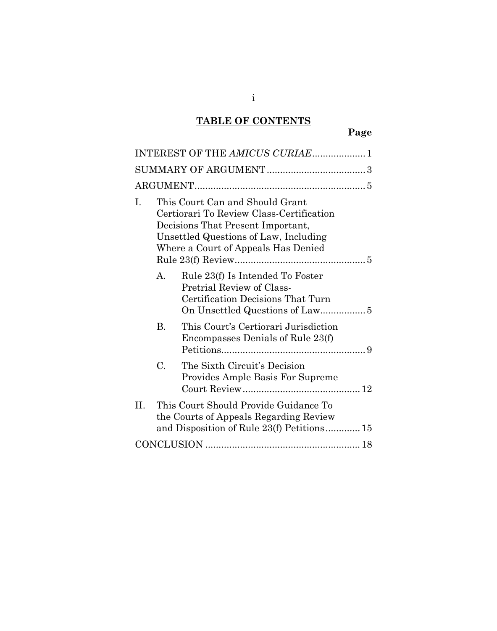# **TABLE OF CONTENTS**

# **Page**

|     | INTEREST OF THE AMICUS CURIAE 1                                                                                                                                                                  |
|-----|--------------------------------------------------------------------------------------------------------------------------------------------------------------------------------------------------|
|     |                                                                                                                                                                                                  |
|     |                                                                                                                                                                                                  |
| L   | This Court Can and Should Grant<br>Certiorari To Review Class-Certification<br>Decisions That Present Important,<br>Unsettled Questions of Law, Including<br>Where a Court of Appeals Has Denied |
|     | Rule 23(f) Is Intended To Foster<br>$\mathbf{A}$<br>Pretrial Review of Class-<br>Certification Decisions That Turn                                                                               |
|     | This Court's Certiorari Jurisdiction<br><b>B.</b><br>Encompasses Denials of Rule 23(f)                                                                                                           |
|     | $\mathcal{C}$ .<br>The Sixth Circuit's Decision<br>Provides Ample Basis For Supreme                                                                                                              |
| II. | This Court Should Provide Guidance To<br>the Courts of Appeals Regarding Review<br>and Disposition of Rule 23(f) Petitions 15                                                                    |
|     |                                                                                                                                                                                                  |

i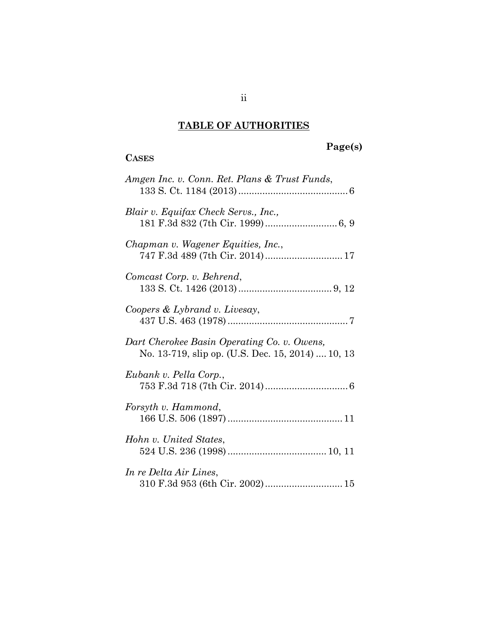# **TABLE OF AUTHORITIES**

**CASES**

# **Page(s)**

| Amgen Inc. v. Conn. Ret. Plans & Trust Funds,                                                    |  |
|--------------------------------------------------------------------------------------------------|--|
| Blair v. Equifax Check Servs., Inc.,                                                             |  |
| Chapman v. Wagener Equities, Inc.,                                                               |  |
| Comcast Corp. v. Behrend,                                                                        |  |
| Coopers & Lybrand v. Livesay,                                                                    |  |
| Dart Cherokee Basin Operating Co. v. Owens,<br>No. 13-719, slip op. (U.S. Dec. 15, 2014)  10, 13 |  |
| Eubank v. Pella Corp.,                                                                           |  |
| Forsyth v. Hammond,                                                                              |  |
| Hohn v. United States,                                                                           |  |
| In re Delta Air Lines,<br>310 F.3d 953 (6th Cir. 2002)  15                                       |  |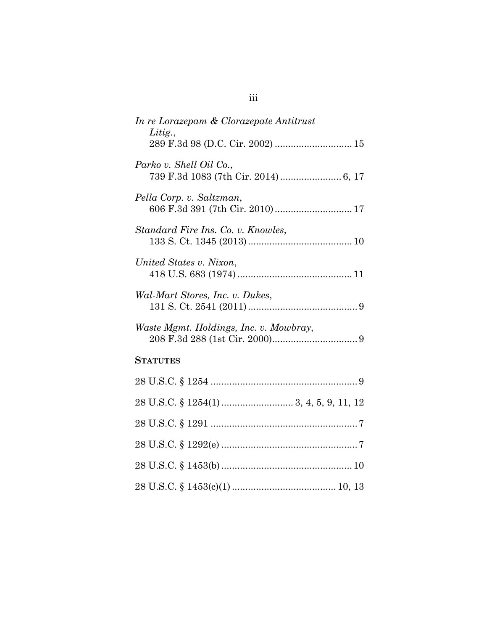| In re Lorazepam & Clorazepate Antitrust                     |
|-------------------------------------------------------------|
| Litig.,<br>289 F.3d 98 (D.C. Cir. 2002)  15                 |
| Parko v. Shell Oil Co.,                                     |
| Pella Corp. v. Saltzman,<br>606 F.3d 391 (7th Cir. 2010) 17 |
| Standard Fire Ins. Co. v. Knowles,                          |
| United States v. Nixon,                                     |
| Wal-Mart Stores, Inc. v. Dukes,                             |
| Waste Mgmt. Holdings, Inc. v. Mowbray,                      |
| <b>STATUTES</b>                                             |
|                                                             |
|                                                             |
|                                                             |
|                                                             |
|                                                             |
|                                                             |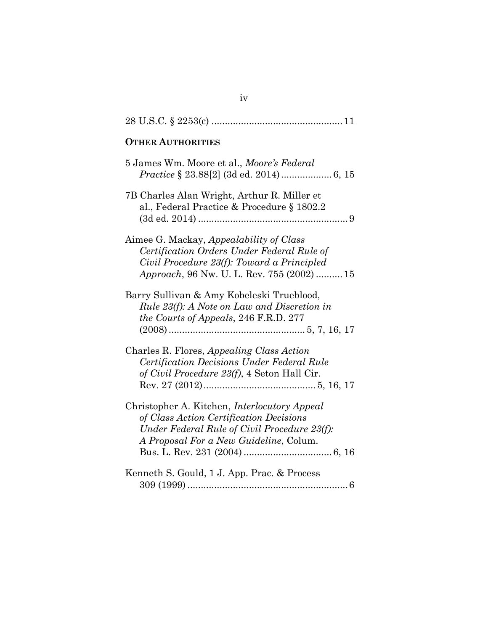| <b>OTHER AUTHORITIES</b>                                                                                                                                                                         |
|--------------------------------------------------------------------------------------------------------------------------------------------------------------------------------------------------|
| 5 James Wm. Moore et al., <i>Moore's Federal</i>                                                                                                                                                 |
| 7B Charles Alan Wright, Arthur R. Miller et<br>al., Federal Practice & Procedure § 1802.2                                                                                                        |
| Aimee G. Mackay, <i>Appealability of Class</i><br>Certification Orders Under Federal Rule of<br>Civil Procedure 23(f): Toward a Principled<br><i>Approach</i> , 96 Nw. U. L. Rev. 755 (2002)  15 |
| Barry Sullivan & Amy Kobeleski Trueblood,<br><i>Rule 23(f): A Note on Law and Discretion in</i><br>the Courts of Appeals, 246 F.R.D. 277                                                         |
| Charles R. Flores, Appealing Class Action<br>Certification Decisions Under Federal Rule<br>of Civil Procedure 23(f), 4 Seton Hall Cir.                                                           |
| Christopher A. Kitchen, <i>Interlocutory Appeal</i><br>of Class Action Certification Decisions<br>Under Federal Rule of Civil Procedure 23(f):<br>A Proposal For a New Guideline, Colum.         |
| Kenneth S. Gould, 1 J. App. Prac. & Process                                                                                                                                                      |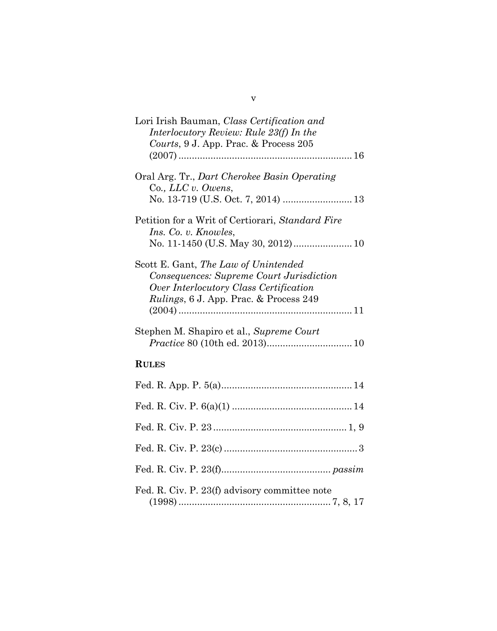| Lori Irish Bauman, Class Certification and<br>Interlocutory Review: Rule 23(f) In the<br>Courts, 9 J. App. Prac. & Process 205                                               |
|------------------------------------------------------------------------------------------------------------------------------------------------------------------------------|
|                                                                                                                                                                              |
| Oral Arg. Tr., Dart Cherokee Basin Operating<br>Co., LLC v. Owens,                                                                                                           |
| Petition for a Writ of Certiorari, Standard Fire<br><i>Ins.</i> Co. v. <i>Knowles</i> ,<br>No. 11-1450 (U.S. May 30, 2012) 10                                                |
| Scott E. Gant, The Law of Unintended<br>Consequences: Supreme Court Jurisdiction<br>Over Interlocutory Class Certification<br><i>Rulings</i> , 6 J. App. Prac. & Process 249 |
| Stephen M. Shapiro et al., Supreme Court                                                                                                                                     |
| <b>RULES</b>                                                                                                                                                                 |
|                                                                                                                                                                              |
|                                                                                                                                                                              |
|                                                                                                                                                                              |
|                                                                                                                                                                              |
|                                                                                                                                                                              |
| Fed. R. Civ. P. 23(f) advisory committee note                                                                                                                                |

v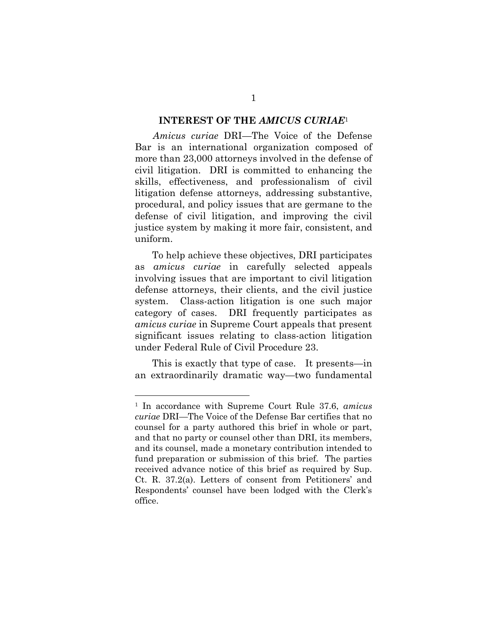#### <span id="page-7-0"></span>**INTEREST OF THE** *AMICUS CURIAE*[1](#page-7-1)

*Amicus curiae* DRI—The Voice of the Defense Bar is an international organization composed of more than 23,000 attorneys involved in the defense of civil litigation. DRI is committed to enhancing the skills, effectiveness, and professionalism of civil litigation defense attorneys, addressing substantive, procedural, and policy issues that are germane to the defense of civil litigation, and improving the civil justice system by making it more fair, consistent, and uniform.

To help achieve these objectives, DRI participates as *amicus curiae* in carefully selected appeals involving issues that are important to civil litigation defense attorneys, their clients, and the civil justice system. Class-action litigation is one such major category of cases. DRI frequently participates as *amicus curiae* in Supreme Court appeals that present significant issues relating to class-action litigation under Federal Rule of Civil Procedure 23.

This is exactly that type of case. It presents—in an extraordinarily dramatic way—two fundamental

<span id="page-7-1"></span><sup>1</sup> In accordance with Supreme Court Rule 37.6, *amicus curiae* DRI—The Voice of the Defense Bar certifies that no counsel for a party authored this brief in whole or part, and that no party or counsel other than DRI, its members, and its counsel, made a monetary contribution intended to fund preparation or submission of this brief. The parties received advance notice of this brief as required by Sup. Ct. R. 37.2(a). Letters of consent from Petitioners' and Respondents' counsel have been lodged with the Clerk's office.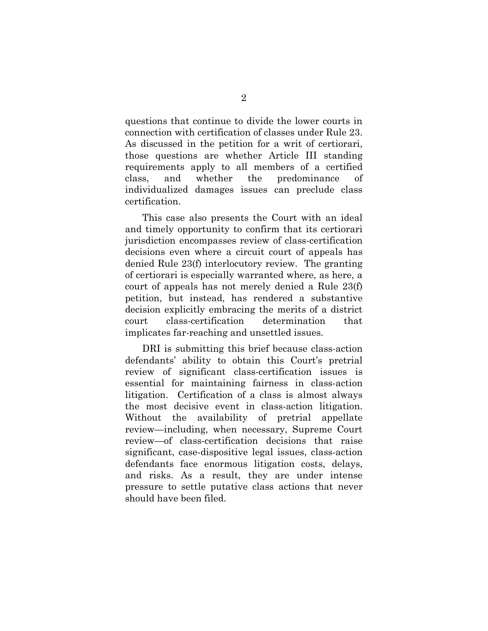questions that continue to divide the lower courts in connection with certification of classes under Rule 23. As discussed in the petition for a writ of certiorari, those questions are whether Article III standing requirements apply to all members of a certified class, and whether the predominance of individualized damages issues can preclude class certification.

This case also presents the Court with an ideal and timely opportunity to confirm that its certiorari jurisdiction encompasses review of class-certification decisions even where a circuit court of appeals has denied Rule 23(f) interlocutory review. The granting of certiorari is especially warranted where, as here, a court of appeals has not merely denied a Rule 23(f) petition, but instead, has rendered a substantive decision explicitly embracing the merits of a district court class-certification determination that implicates far-reaching and unsettled issues.

DRI is submitting this brief because class-action defendants' ability to obtain this Court's pretrial review of significant class-certification issues is essential for maintaining fairness in class-action litigation. Certification of a class is almost always the most decisive event in class-action litigation. Without the availability of pretrial appellate review—including, when necessary, Supreme Court review—of class-certification decisions that raise significant, case-dispositive legal issues, class-action defendants face enormous litigation costs, delays, and risks. As a result, they are under intense pressure to settle putative class actions that never should have been filed.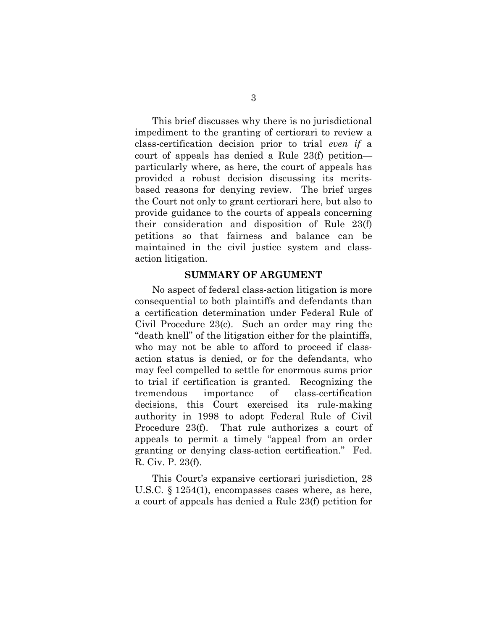This brief discusses why there is no jurisdictional impediment to the granting of certiorari to review a class-certification decision prior to trial *even if* a court of appeals has denied a Rule 23(f) petition particularly where, as here, the court of appeals has provided a robust decision discussing its meritsbased reasons for denying review. The brief urges the Court not only to grant certiorari here, but also to provide guidance to the courts of appeals concerning their consideration and disposition of Rule 23(f) petitions so that fairness and balance can be maintained in the civil justice system and classaction litigation.

#### <span id="page-9-0"></span>**SUMMARY OF ARGUMENT**

No aspect of federal class-action litigation is more consequential to both plaintiffs and defendants than a certification determination under Federal Rule of Civil Procedure 23(c). Such an order may ring the "death knell" of the litigation either for the plaintiffs, who may not be able to afford to proceed if classaction status is denied, or for the defendants, who may feel compelled to settle for enormous sums prior to trial if certification is granted. Recognizing the tremendous importance of class-certification decisions, this Court exercised its rule-making authority in 1998 to adopt Federal Rule of Civil Procedure 23(f). That rule authorizes a court of appeals to permit a timely "appeal from an order granting or denying class-action certification." Fed. R. Civ. P. 23(f).

This Court's expansive certiorari jurisdiction, 28 U.S.C. § 1254(1), encompasses cases where, as here, a court of appeals has denied a Rule 23(f) petition for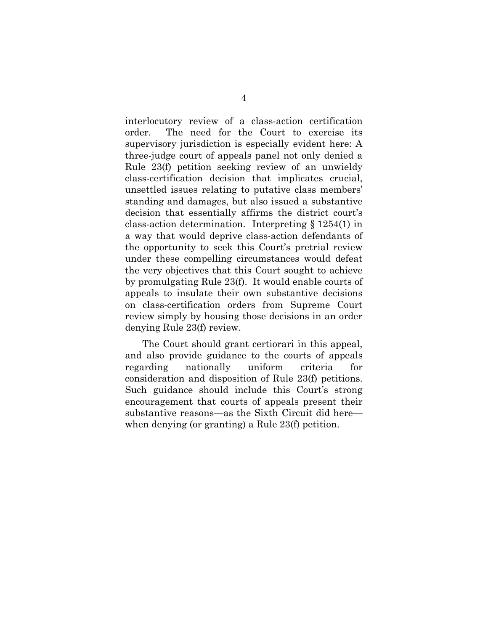interlocutory review of a class-action certification order. The need for the Court to exercise its supervisory jurisdiction is especially evident here: A three-judge court of appeals panel not only denied a Rule 23(f) petition seeking review of an unwieldy class-certification decision that implicates crucial, unsettled issues relating to putative class members' standing and damages, but also issued a substantive decision that essentially affirms the district court's class-action determination. Interpreting § 1254(1) in a way that would deprive class-action defendants of the opportunity to seek this Court's pretrial review under these compelling circumstances would defeat the very objectives that this Court sought to achieve by promulgating Rule 23(f). It would enable courts of appeals to insulate their own substantive decisions on class-certification orders from Supreme Court review simply by housing those decisions in an order denying Rule 23(f) review.

The Court should grant certiorari in this appeal, and also provide guidance to the courts of appeals regarding nationally uniform criteria for consideration and disposition of Rule 23(f) petitions. Such guidance should include this Court's strong encouragement that courts of appeals present their substantive reasons—as the Sixth Circuit did here when denying (or granting) a Rule 23(f) petition.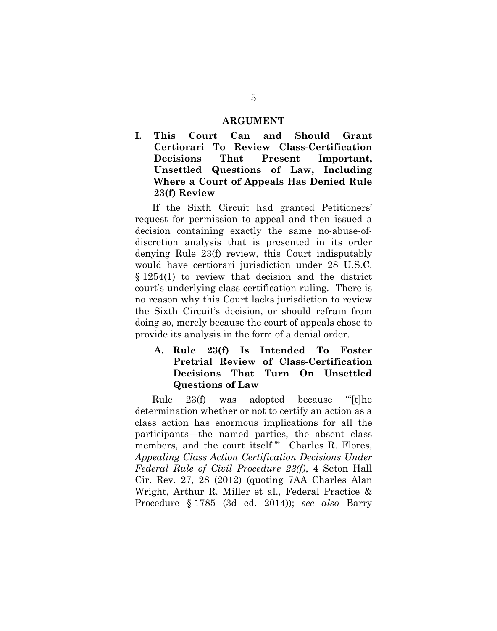#### <span id="page-11-0"></span>**ARGUMENT**

<span id="page-11-1"></span>**I. This Court Can and Should Grant Certiorari To Review Class-Certification Decisions That Present Important, Unsettled Questions of Law, Including Where a Court of Appeals Has Denied Rule 23(f) Review**

If the Sixth Circuit had granted Petitioners' request for permission to appeal and then issued a decision containing exactly the same no-abuse-ofdiscretion analysis that is presented in its order denying Rule 23(f) review, this Court indisputably would have certiorari jurisdiction under 28 U.S.C. § 1254(1) to review that decision and the district court's underlying class-certification ruling. There is no reason why this Court lacks jurisdiction to review the Sixth Circuit's decision, or should refrain from doing so, merely because the court of appeals chose to provide its analysis in the form of a denial order.

## <span id="page-11-2"></span>**A. Rule 23(f) Is Intended To Foster Pretrial Review of Class-Certification Decisions That Turn On Unsettled Questions of Law**

<span id="page-11-4"></span><span id="page-11-3"></span>Rule 23(f) was adopted because "[t]he determination whether or not to certify an action as a class action has enormous implications for all the participants—the named parties, the absent class members, and the court itself.'" Charles R. Flores, *Appealing Class Action Certification Decisions Under Federal Rule of Civil Procedure 23(f)*, 4 Seton Hall Cir. Rev. 27, 28 (2012) (quoting 7AA Charles Alan Wright, Arthur R. Miller et al., Federal Practice & Procedure § 1785 (3d ed. 2014)); *see also* Barry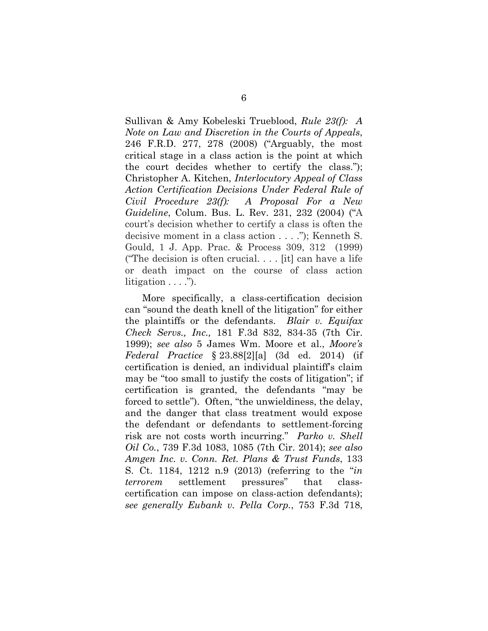Sullivan & Amy Kobeleski Trueblood, *Rule 23(f): A Note on Law and Discretion in the Courts of Appeals*, 246 F.R.D. 277, 278 (2008) ("Arguably, the most critical stage in a class action is the point at which the court decides whether to certify the class."); Christopher A. Kitchen, *Interlocutory Appeal of Class Action Certification Decisions Under Federal Rule of Civil Procedure 23(f): A Proposal For a New Guideline*, Colum. Bus. L. Rev. 231, 232 (2004) ("A court's decision whether to certify a class is often the decisive moment in a class action . . . ."); Kenneth S. Gould, 1 J. App. Prac. & Process 309, 312 (1999) ("The decision is often crucial. . . . [it] can have a life or death impact on the course of class action litigation  $\dots$ .").

<span id="page-12-3"></span><span id="page-12-2"></span><span id="page-12-1"></span><span id="page-12-0"></span>More specifically, a class-certification decision can "sound the death knell of the litigation" for either the plaintiffs or the defendants. *Blair v. Equifax Check Servs., Inc.,* 181 F.3d 832, 834-35 (7th Cir. 1999); *see also* 5 James Wm. Moore et al., *Moore's Federal Practice* § 23.88[2][a] (3d ed. 2014) (if certification is denied, an individual plaintiff's claim may be "too small to justify the costs of litigation"; if certification is granted, the defendants "may be forced to settle"). Often, "the unwieldiness, the delay, and the danger that class treatment would expose the defendant or defendants to settlement-forcing risk are not costs worth incurring." *Parko v. Shell Oil Co.*, 739 F.3d 1083, 1085 (7th Cir. 2014); *see also Amgen Inc. v. Conn. Ret. Plans & Trust Funds*, 133 S. Ct. 1184, 1212 n.9 (2013) (referring to the "*in terrorem* settlement pressures" that classcertification can impose on class-action defendants); *see generally Eubank v. Pella Corp.*, 753 F.3d 718,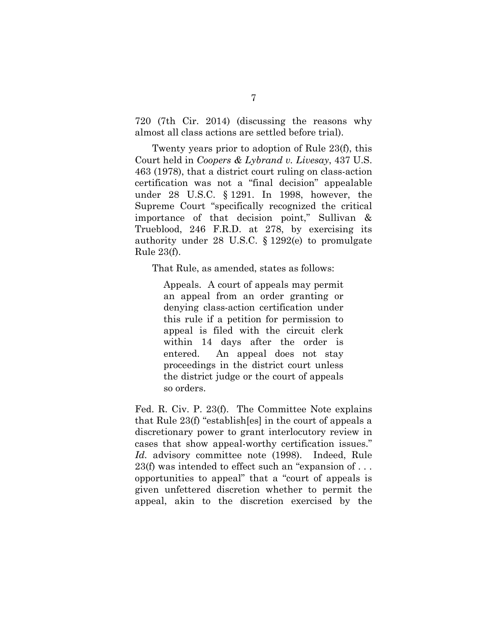720 (7th Cir. 2014) (discussing the reasons why almost all class actions are settled before trial).

<span id="page-13-0"></span>Twenty years prior to adoption of Rule 23(f), this Court held in *Coopers & Lybrand v. Livesay*, 437 U.S. 463 (1978), that a district court ruling on class-action certification was not a "final decision" appealable under 28 U.S.C. § 1291. In 1998, however, the Supreme Court "specifically recognized the critical importance of that decision point," Sullivan & Trueblood, 246 F.R.D. at 278, by exercising its authority under 28 U.S.C. § 1292(e) to promulgate Rule 23(f).

<span id="page-13-1"></span>That Rule, as amended, states as follows:

Appeals. A court of appeals may permit an appeal from an order granting or denying class-action certification under this rule if a petition for permission to appeal is filed with the circuit clerk within 14 days after the order is entered. An appeal does not stay proceedings in the district court unless the district judge or the court of appeals so orders.

Fed. R. Civ. P. 23(f). The Committee Note explains that Rule 23(f) "establish[es] in the court of appeals a discretionary power to grant interlocutory review in cases that show appeal-worthy certification issues." *Id.* advisory committee note (1998). Indeed, Rule 23(f) was intended to effect such an "expansion of . . . opportunities to appeal" that a "court of appeals is given unfettered discretion whether to permit the appeal, akin to the discretion exercised by the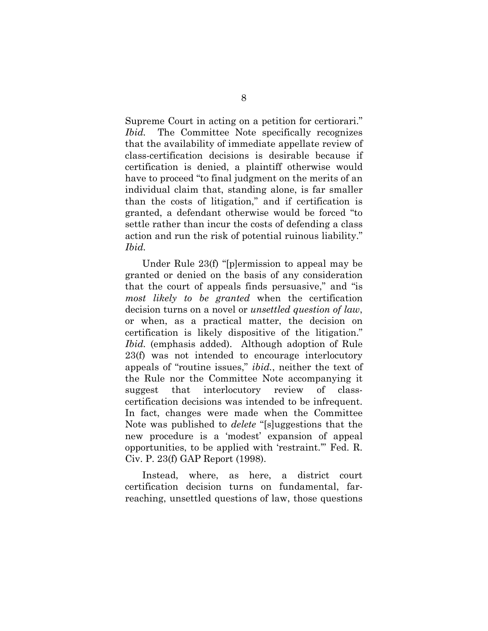Supreme Court in acting on a petition for certiorari." *Ibid.* The Committee Note specifically recognizes that the availability of immediate appellate review of class-certification decisions is desirable because if certification is denied, a plaintiff otherwise would have to proceed "to final judgment on the merits of an individual claim that, standing alone, is far smaller than the costs of litigation," and if certification is granted, a defendant otherwise would be forced "to settle rather than incur the costs of defending a class action and run the risk of potential ruinous liability." *Ibid.*

Under Rule 23(f) "[p]ermission to appeal may be granted or denied on the basis of any consideration that the court of appeals finds persuasive," and "is *most likely to be granted* when the certification decision turns on a novel or *unsettled question of law*, or when, as a practical matter, the decision on certification is likely dispositive of the litigation." *Ibid.* (emphasis added). Although adoption of Rule 23(f) was not intended to encourage interlocutory appeals of "routine issues," *ibid.*, neither the text of the Rule nor the Committee Note accompanying it suggest that interlocutory review of classcertification decisions was intended to be infrequent. In fact, changes were made when the Committee Note was published to *delete* "[s]uggestions that the new procedure is a 'modest' expansion of appeal opportunities, to be applied with 'restraint.'" Fed. R. Civ. P. 23(f) GAP Report (1998).

Instead, where, as here, a district court certification decision turns on fundamental, farreaching, unsettled questions of law, those questions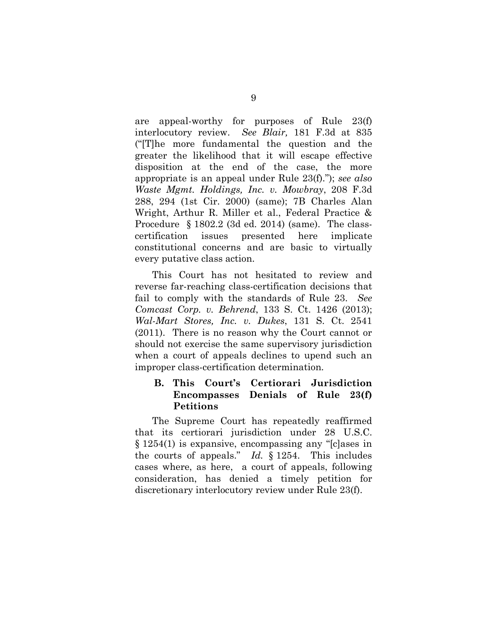<span id="page-15-4"></span><span id="page-15-3"></span>are appeal-worthy for purposes of Rule 23(f) interlocutory review. *See Blair,* 181 F.3d at 835 ("[T]he more fundamental the question and the greater the likelihood that it will escape effective disposition at the end of the case, the more appropriate is an appeal under Rule 23(f)."); *see also Waste Mgmt. Holdings, Inc. v. Mowbray*, 208 F.3d 288, 294 (1st Cir. 2000) (same); 7B Charles Alan Wright, Arthur R. Miller et al., Federal Practice & Procedure § 1802.2 (3d ed. 2014) (same). The classcertification issues presented here implicate constitutional concerns and are basic to virtually every putative class action.

<span id="page-15-2"></span><span id="page-15-1"></span>This Court has not hesitated to review and reverse far-reaching class-certification decisions that fail to comply with the standards of Rule 23. *See Comcast Corp. v. Behrend*, 133 S. Ct. 1426 (2013); *Wal-Mart Stores, Inc. v. Dukes*, 131 S. Ct. 2541 (2011). There is no reason why the Court cannot or should not exercise the same supervisory jurisdiction when a court of appeals declines to upend such an improper class-certification determination.

## <span id="page-15-0"></span>**B. This Court's Certiorari Jurisdiction Encompasses Denials of Rule 23(f) Petitions**

The Supreme Court has repeatedly reaffirmed that its certiorari jurisdiction under 28 U.S.C. § 1254(1) is expansive, encompassing any "[c]ases in the courts of appeals." *Id.* § 1254. This includes cases where, as here, a court of appeals, following consideration, has denied a timely petition for discretionary interlocutory review under Rule 23(f).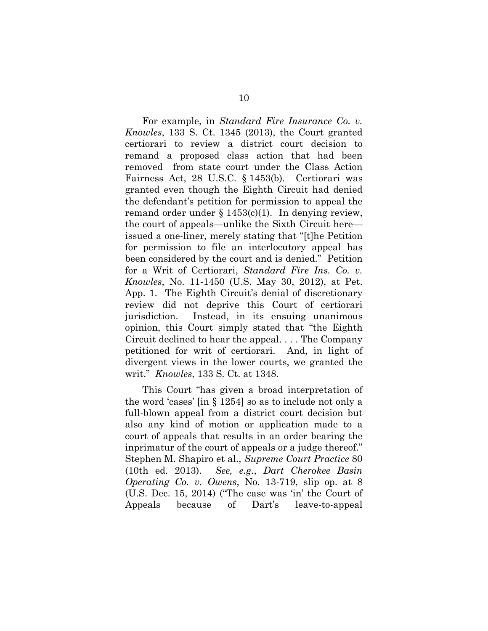<span id="page-16-2"></span><span id="page-16-1"></span>For example, in *Standard Fire Insurance Co. v. Knowles*, 133 S. Ct. 1345 (2013), the Court granted certiorari to review a district court decision to remand a proposed class action that had been removed from state court under the Class Action Fairness Act, 28 U.S.C. § 1453(b). Certiorari was granted even though the Eighth Circuit had denied the defendant's petition for permission to appeal the remand order under  $\S 1453(c)(1)$ . In denying review, the court of appeals—unlike the Sixth Circuit here issued a one-liner, merely stating that "[t]he Petition for permission to file an interlocutory appeal has been considered by the court and is denied." Petition for a Writ of Certiorari, *Standard Fire Ins. Co. v. Knowles*, No. 11-1450 (U.S. May 30, 2012), at Pet. App. 1. The Eighth Circuit's denial of discretionary review did not deprive this Court of certiorari jurisdiction. Instead, in its ensuing unanimous opinion, this Court simply stated that "the Eighth Circuit declined to hear the appeal. . . . The Company petitioned for writ of certiorari. And, in light of divergent views in the lower courts, we granted the writ." *Knowles*, 133 S. Ct. at 1348.

<span id="page-16-3"></span><span id="page-16-0"></span>This Court "has given a broad interpretation of the word 'cases' [in § 1254] so as to include not only a full-blown appeal from a district court decision but also any kind of motion or application made to a court of appeals that results in an order bearing the inprimatur of the court of appeals or a judge thereof." Stephen M. Shapiro et al., *Supreme Court Practice* 80 (10th ed. 2013). *See, e.g.*, *Dart Cherokee Basin Operating Co. v. Owens*, No. 13-719, slip op. at 8 (U.S. Dec. 15, 2014) ("The case was 'in' the Court of Appeals because of Dart's leave-to-appeal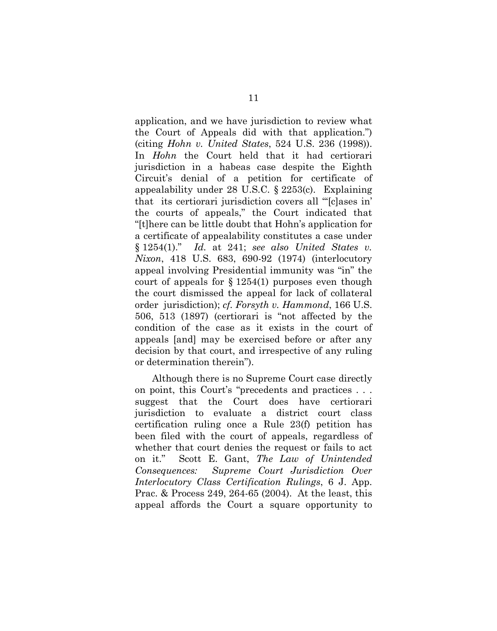<span id="page-17-1"></span><span id="page-17-0"></span>application, and we have jurisdiction to review what the Court of Appeals did with that application.") (citing *Hohn v. United States*, 524 U.S. 236 (1998)). In *Hohn* the Court held that it had certiorari jurisdiction in a habeas case despite the Eighth Circuit's denial of a petition for certificate of appealability under 28 U.S.C. § 2253(c). Explaining that its certiorari jurisdiction covers all "'[c]ases in' the courts of appeals," the Court indicated that "[t]here can be little doubt that Hohn's application for a certificate of appealability constitutes a case under § 1254(1)." *Id.* at 241; *see also United States v. Nixon*, 418 U.S. 683, 690-92 (1974) (interlocutory appeal involving Presidential immunity was "in" the court of appeals for  $\S 1254(1)$  purposes even though the court dismissed the appeal for lack of collateral order jurisdiction); *cf. Forsyth v. Hammond*, 166 U.S. 506, 513 (1897) (certiorari is "not affected by the condition of the case as it exists in the court of appeals [and] may be exercised before or after any decision by that court, and irrespective of any ruling or determination therein").

<span id="page-17-2"></span>Although there is no Supreme Court case directly on point, this Court's "precedents and practices . . . suggest that the Court does have certiorari jurisdiction to evaluate a district court class certification ruling once a Rule 23(f) petition has been filed with the court of appeals, regardless of whether that court denies the request or fails to act on it." Scott E. Gant, *The Law of Unintended Consequences: Supreme Court Jurisdiction Over Interlocutory Class Certification Rulings*, 6 J. App. Prac. & Process 249, 264-65 (2004). At the least, this appeal affords the Court a square opportunity to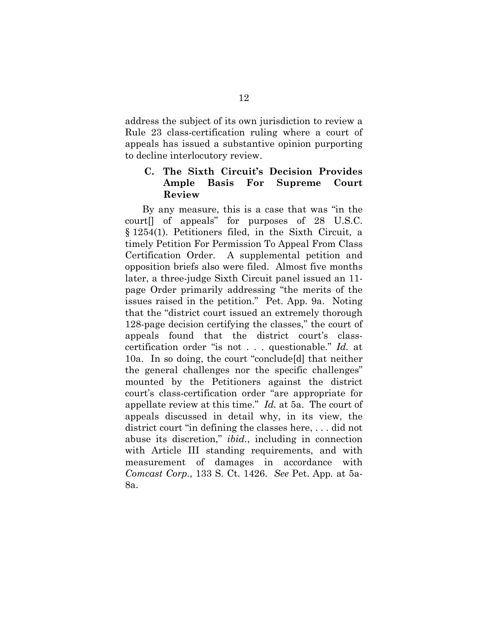address the subject of its own jurisdiction to review a Rule 23 class-certification ruling where a court of appeals has issued a substantive opinion purporting to decline interlocutory review.

### <span id="page-18-0"></span>**C. The Sixth Circuit's Decision Provides Ample Basis For Supreme Court Review**

<span id="page-18-1"></span>By any measure, this is a case that was "in the court[] of appeals" for purposes of 28 U.S.C. § 1254(1). Petitioners filed, in the Sixth Circuit, a timely Petition For Permission To Appeal From Class Certification Order. A supplemental petition and opposition briefs also were filed. Almost five months later, a three-judge Sixth Circuit panel issued an 11 page Order primarily addressing "the merits of the issues raised in the petition." Pet. App. 9a. Noting that the "district court issued an extremely thorough 128-page decision certifying the classes," the court of appeals found that the district court's classcertification order "is not . . . questionable." *Id.* at 10a. In so doing, the court "conclude[d] that neither the general challenges nor the specific challenges" mounted by the Petitioners against the district court's class-certification order "are appropriate for appellate review at this time." *Id.* at 5a. The court of appeals discussed in detail why, in its view, the district court "in defining the classes here, . . . did not abuse its discretion," *ibid.*, including in connection with Article III standing requirements, and with measurement of damages in accordance with *Comcast Corp.*, 133 S. Ct. 1426. *See* Pet. App*.* at 5a-8a.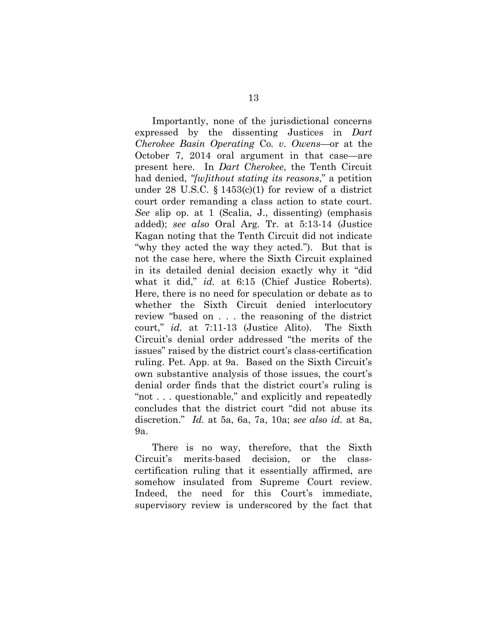Importantly, none of the jurisdictional concerns expressed by the dissenting Justices in *Dart Cherokee Basin Operating* Co*. v. Owens*—or at the October 7, 2014 oral argument in that case—are present here. In *Dart Cherokee*, the Tenth Circuit had denied, *"[w]ithout stating its reasons*," a petition under 28 U.S.C. § 1453(c)(1) for review of a district court order remanding a class action to state court. *See* slip op. at 1 (Scalia, J., dissenting) (emphasis added); *see also* Oral Arg. Tr. at 5:13-14 (Justice Kagan noting that the Tenth Circuit did not indicate "why they acted the way they acted."). But that is not the case here, where the Sixth Circuit explained in its detailed denial decision exactly why it "did what it did," *id.* at 6:15 (Chief Justice Roberts). Here, there is no need for speculation or debate as to whether the Sixth Circuit denied interlocutory review "based on . . . the reasoning of the district court," *id.* at 7:11-13 (Justice Alito). The Sixth Circuit's denial order addressed "the merits of the issues" raised by the district court's class-certification ruling. Pet. App. at 9a. Based on the Sixth Circuit's own substantive analysis of those issues, the court's denial order finds that the district court's ruling is "not . . . questionable," and explicitly and repeatedly concludes that the district court "did not abuse its discretion." *Id.* at 5a, 6a, 7a, 10a; *see also id.* at 8a, 9a.

There is no way, therefore, that the Sixth Circuit's merits-based decision, or the classcertification ruling that it essentially affirmed, are somehow insulated from Supreme Court review. Indeed, the need for this Court's immediate, supervisory review is underscored by the fact that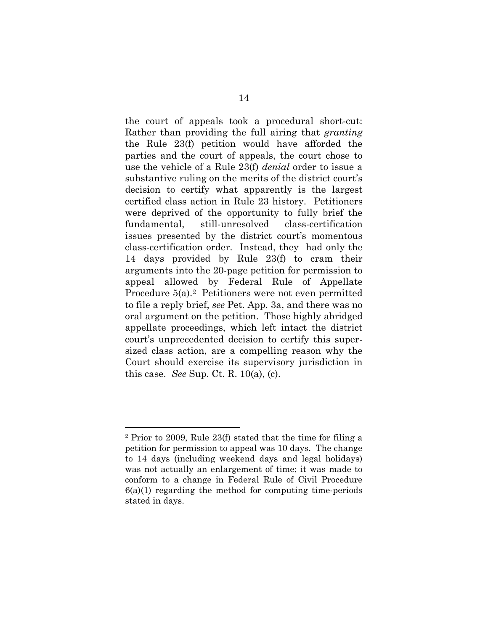the court of appeals took a procedural short-cut: Rather than providing the full airing that *granting* the Rule 23(f) petition would have afforded the parties and the court of appeals, the court chose to use the vehicle of a Rule 23(f) *denial* order to issue a substantive ruling on the merits of the district court's decision to certify what apparently is the largest certified class action in Rule 23 history. Petitioners were deprived of the opportunity to fully brief the fundamental, still-unresolved class-certification issues presented by the district court's momentous class-certification order. Instead, they had only the 14 days provided by Rule 23(f) to cram their arguments into the 20-page petition for permission to appeal allowed by Federal Rule of Appellate Procedure 5(a).[2](#page-20-1) Petitioners were not even permitted to file a reply brief, *see* Pet. App. 3a, and there was no oral argument on the petition. Those highly abridged appellate proceedings, which left intact the district court's unprecedented decision to certify this supersized class action, are a compelling reason why the Court should exercise its supervisory jurisdiction in this case. *See* Sup. Ct. R. 10(a), (c).

<span id="page-20-1"></span><span id="page-20-0"></span><sup>2</sup> Prior to 2009, Rule 23(f) stated that the time for filing a petition for permission to appeal was 10 days. The change to 14 days (including weekend days and legal holidays) was not actually an enlargement of time; it was made to conform to a change in Federal Rule of Civil Procedure  $6(a)(1)$  regarding the method for computing time-periods stated in days.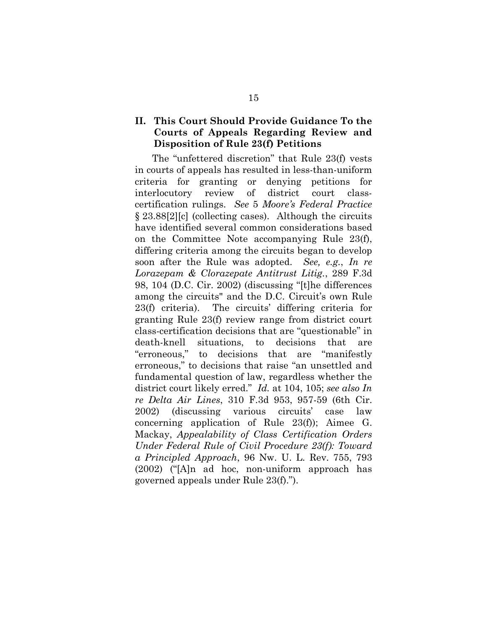## <span id="page-21-0"></span>**II. This Court Should Provide Guidance To the Courts of Appeals Regarding Review and Disposition of Rule 23(f) Petitions**

<span id="page-21-1"></span>The "unfettered discretion" that Rule 23(f) vests in courts of appeals has resulted in less-than-uniform criteria for granting or denying petitions for interlocutory review of district court classcertification rulings. *See* 5 *Moore's Federal Practice* § 23.88[2][c] (collecting cases). Although the circuits have identified several common considerations based on the Committee Note accompanying Rule 23(f), differing criteria among the circuits began to develop soon after the Rule was adopted. *See, e.g.*, *In re Lorazepam & Clorazepate Antitrust Litig.*, 289 F.3d 98, 104 (D.C. Cir. 2002) (discussing "[t]he differences among the circuits" and the D.C. Circuit's own Rule 23(f) criteria). The circuits' differing criteria for granting Rule 23(f) review range from district court class-certification decisions that are "questionable" in death-knell situations, to decisions that are "erroneous," to decisions that are "manifestly erroneous," to decisions that raise "an unsettled and fundamental question of law, regardless whether the district court likely erred." *Id.* at 104, 105; *see also In re Delta Air Lines*, 310 F.3d 953, 957-59 (6th Cir. 2002) (discussing various circuits' case law concerning application of Rule 23(f)); Aimee G. Mackay, *Appealability of Class Certification Orders Under Federal Rule of Civil Procedure 23(f): Toward a Principled Approach*, 96 Nw. U. L. Rev. 755, 793 (2002) ("[A]n ad hoc, non-uniform approach has governed appeals under Rule 23(f).").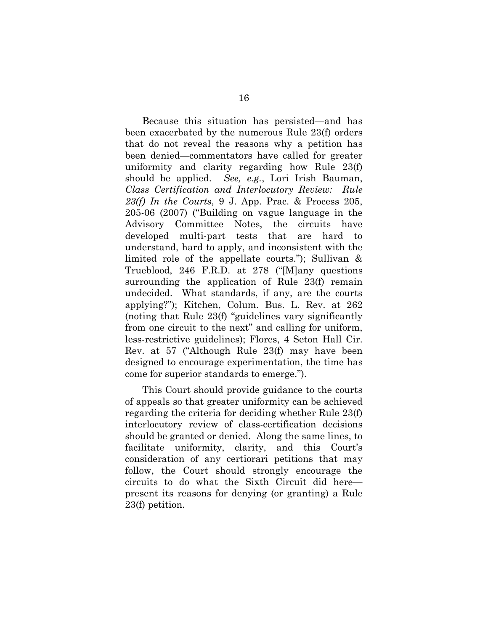<span id="page-22-0"></span>Because this situation has persisted—and has been exacerbated by the numerous Rule 23(f) orders that do not reveal the reasons why a petition has been denied—commentators have called for greater uniformity and clarity regarding how Rule 23(f) should be applied. *See, e.g.*, Lori Irish Bauman, *Class Certification and Interlocutory Review: Rule 23(f) In the Courts*, 9 J. App. Prac. & Process 205, 205-06 (2007) ("Building on vague language in the Advisory Committee Notes, the circuits have developed multi-part tests that are hard to understand, hard to apply, and inconsistent with the limited role of the appellate courts."); Sullivan & Trueblood, 246 F.R.D. at 278 ("[M]any questions surrounding the application of Rule 23(f) remain undecided. What standards, if any, are the courts applying?"); Kitchen, Colum. Bus. L. Rev. at 262 (noting that Rule 23(f) "guidelines vary significantly from one circuit to the next" and calling for uniform, less-restrictive guidelines); Flores, 4 Seton Hall Cir. Rev. at 57 ("Although Rule 23(f) may have been designed to encourage experimentation, the time has come for superior standards to emerge.").

This Court should provide guidance to the courts of appeals so that greater uniformity can be achieved regarding the criteria for deciding whether Rule 23(f) interlocutory review of class-certification decisions should be granted or denied. Along the same lines, to facilitate uniformity, clarity, and this Court's consideration of any certiorari petitions that may follow, the Court should strongly encourage the circuits to do what the Sixth Circuit did here present its reasons for denying (or granting) a Rule 23(f) petition.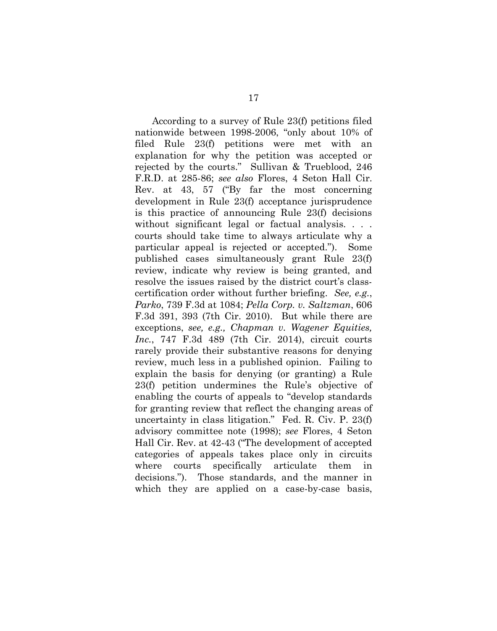<span id="page-23-2"></span><span id="page-23-1"></span><span id="page-23-0"></span>According to a survey of Rule 23(f) petitions filed nationwide between 1998-2006, "only about 10% of filed Rule 23(f) petitions were met with an explanation for why the petition was accepted or rejected by the courts." Sullivan & Trueblood, 246 F.R.D. at 285-86; *see also* Flores, 4 Seton Hall Cir. Rev. at 43, 57 ("By far the most concerning development in Rule 23(f) acceptance jurisprudence is this practice of announcing Rule 23(f) decisions without significant legal or factual analysis. . . . courts should take time to always articulate why a particular appeal is rejected or accepted."). Some published cases simultaneously grant Rule 23(f) review, indicate why review is being granted, and resolve the issues raised by the district court's classcertification order without further briefing. *See, e.g.*, *Parko*, 739 F.3d at 1084; *Pella Corp. v. Saltzman*, 606 F.3d 391, 393 (7th Cir. 2010). But while there are exceptions, *see, e.g., Chapman v. Wagener Equities, Inc.*, 747 F.3d 489 (7th Cir. 2014), circuit courts rarely provide their substantive reasons for denying review, much less in a published opinion. Failing to explain the basis for denying (or granting) a Rule 23(f) petition undermines the Rule's objective of enabling the courts of appeals to "develop standards for granting review that reflect the changing areas of uncertainty in class litigation." Fed. R. Civ. P. 23(f) advisory committee note (1998); *see* Flores, 4 Seton Hall Cir. Rev. at 42-43 ("The development of accepted categories of appeals takes place only in circuits where courts specifically articulate them in decisions."). Those standards, and the manner in which they are applied on a case-by-case basis,